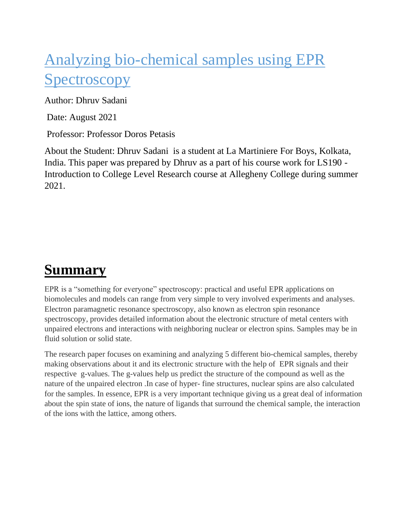## Analyzing bio-chemical samples using EPR **Spectroscopy**

Author: Dhruv Sadani

Date: August 2021

Professor: Professor Doros Petasis

About the Student: Dhruv Sadani is a student at La Martiniere For Boys, Kolkata, India. This paper was prepared by Dhruv as a part of his course work for LS190 - Introduction to College Level Research course at Allegheny College during summer 2021.

## **Summary**

EPR is a "something for everyone" spectroscopy: practical and useful EPR applications on biomolecules and models can range from very simple to very involved experiments and analyses. Electron paramagnetic resonance spectroscopy, also known as [electron spin](https://www.sciencedirect.com/topics/chemistry/electron-spin) resonance spectroscopy, provides detailed information about the electronic structure of metal centers with unpaired electrons and interactions with neighboring nuclear or [electron spins.](https://www.sciencedirect.com/topics/chemistry/electron-spin) Samples may be in fluid solution or solid state.

The research paper focuses on examining and analyzing 5 different bio-chemical samples, thereby making observations about it and its electronic structure with the help of EPR signals and their respective g-values. The g-values help us predict the structure of the compound as well as the nature of the unpaired electron .In case of hyper- fine structures, nuclear spins are also calculated for the samples. In essence, EPR is a very important technique giving us a great deal of information about the spin state of ions, the nature of ligands that surround the chemical sample, the interaction of the ions with the lattice, among others.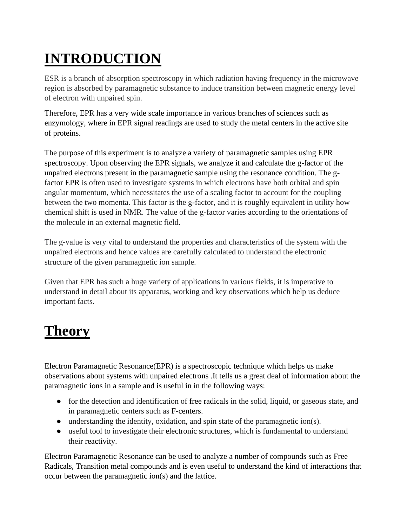# **INTRODUCTION**

ESR is a branch of absorption spectroscopy in which radiation having frequency in the microwave region is absorbed by paramagnetic substance to induce transition between magnetic energy level of electron with unpaired spin.

Therefore, EPR has a very wide scale importance in various branches of sciences such as enzymology, where in EPR signal readings are used to study the metal centers in the active site of proteins.

The purpose of this experiment is to analyze a variety of paramagnetic samples using EPR spectroscopy. Upon observing the EPR signals, we analyze it and calculate the g-factor of the unpaired electrons present in the paramagnetic sample using the resonance condition. The gfactor EPR is often used to investigate systems in which electrons have both orbital and spin angular momentum, which necessitates the use of a scaling factor to account for the coupling between the two momenta. This factor is the g-factor, and it is roughly equivalent in utility how chemical shift is used in NMR. The value of the g-factor varies according to the orientations of the molecule in an external magnetic field.

The g-value is very vital to understand the properties and characteristics of the system with the unpaired electrons and hence values are carefully calculated to understand the electronic structure of the given paramagnetic ion sample.

Given that EPR has such a huge variety of applications in various fields, it is imperative to understand in detail about its apparatus, working and key observations which help us deduce important facts.

## **Theory**

Electron Paramagnetic Resonance(EPR) is a spectroscopic technique which helps us make observations about systems with unpaired electrons .It tells us a great deal of information about the paramagnetic ions in a sample and is useful in in the following ways:

- for the detection and identification of free radicals in the solid, liquid, or gaseous state, and in paramagnetic centers such as F-centers.
- $\bullet$  understanding the identity, oxidation, and spin state of the paramagnetic ion(s).
- useful tool to investigate their electronic structures, which is fundamental to understand their reactivity.

Electron Paramagnetic Resonance can be used to analyze a number of compounds such as Free Radicals, Transition metal compounds and is even useful to understand the kind of interactions that occur between the paramagnetic ion(s) and the lattice.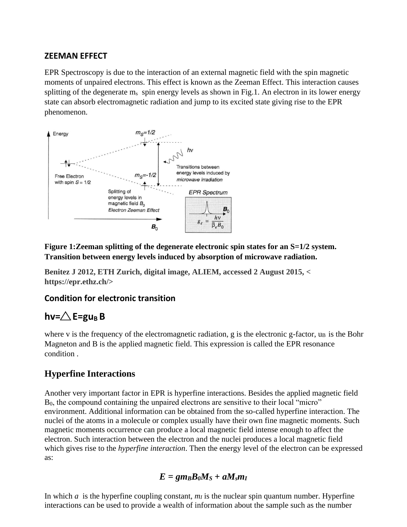#### **ZEEMAN EFFECT**

EPR Spectroscopy is due to the interaction of an external magnetic field with the spin magnetic moments of unpaired electrons. This effect is known as the Zeeman Effect. This interaction causes splitting of the degenerate m<sub>s</sub> spin energy levels as shown in Fig.1. An electron in its lower energy state can absorb electromagnetic radiation and jump to its excited state giving rise to the EPR phenomenon.



**Figure 1:Zeeman splitting of the degenerate electronic spin states for an S=1/2 system. Transition between energy levels induced by absorption of microwave radiation.**

**Benitez J 2012, ETH Zurich, digital image, ALIEM, accessed 2 August 2015, < https://epr.ethz.ch/>**

#### **Condition for electronic transition**

#### $hv = \triangle E = gu_B B$

where v is the frequency of the electromagnetic radiation, g is the electronic g-factor,  $u_B$  is the Bohr Magneton and B is the applied magnetic field. This expression is called the EPR resonance condition .

#### **Hyperfine Interactions**

Another very important factor in EPR is hyperfine interactions. Besides the applied magnetic field B0, the compound containing the unpaired electrons are sensitive to their local "micro" environment. Additional information can be obtained from the so-called hyperfine interaction. The nuclei of the atoms in a molecule or complex usually have their own fine magnetic moments. Such magnetic moments occurrence can produce a local magnetic field intense enough to affect the electron. Such interaction between the electron and the nuclei produces a local magnetic field which gives rise to the *hyperfine interaction*. Then the energy level of the electron can be expressed as:

$$
E = g m_B B_0 M_S + a M_s m_I
$$

In which *a* is the hyperfine coupling constant,  $m<sub>I</sub>$  is the nuclear spin quantum number. Hyperfine interactions can be used to provide a wealth of information about the sample such as the number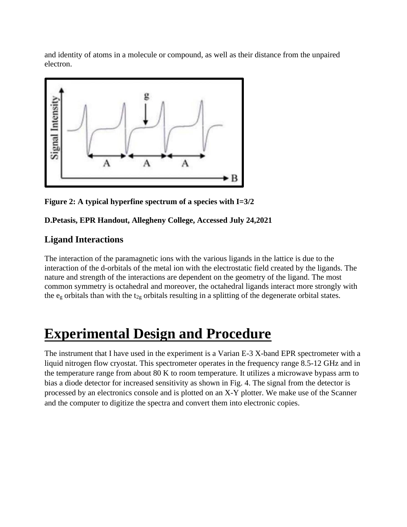and identity of atoms in a molecule or compound, as well as their distance from the unpaired electron.



**Figure 2: A typical hyperfine spectrum of a species with I=3/2**

#### **D.Petasis, EPR Handout, Allegheny College, Accessed July 24,2021**

#### **Ligand Interactions**

The interaction of the paramagnetic ions with the various ligands in the lattice is due to the interaction of the d-orbitals of the metal ion with the electrostatic field created by the ligands. The nature and strength of the interactions are dependent on the geometry of the ligand. The most common symmetry is octahedral and moreover, the octahedral ligands interact more strongly with the  $e_g$  orbitals than with the  $t_{2g}$  orbitals resulting in a splitting of the degenerate orbital states.

### **Experimental Design and Procedure**

The instrument that I have used in the experiment is a Varian E-3 X-band EPR spectrometer with a liquid nitrogen flow cryostat. This spectrometer operates in the frequency range 8.5-12 GHz and in the temperature range from about 80 K to room temperature. It utilizes a microwave bypass arm to bias a diode detector for increased sensitivity as shown in Fig. 4. The signal from the detector is processed by an electronics console and is plotted on an X-Y plotter. We make use of the Scanner and the computer to digitize the spectra and convert them into electronic copies.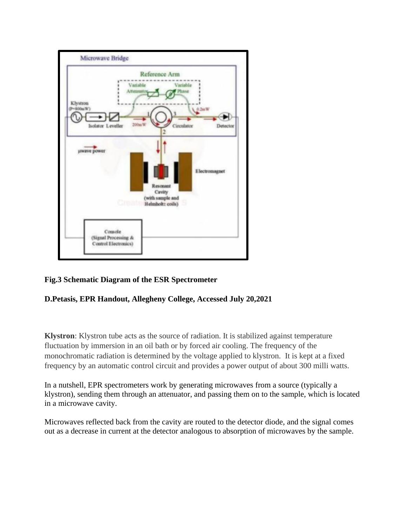

#### **Fig.3 Schematic Diagram of the ESR Spectrometer**

#### **D.Petasis, EPR Handout, Allegheny College, Accessed July 20,2021**

**Klystron**: Klystron tube acts as the source of radiation. It is stabilized against temperature fluctuation by immersion in an oil bath or by forced air cooling. The frequency of the monochromatic radiation is determined by the voltage applied to klystron. It is kept at a fixed frequency by an automatic control circuit and provides a power output of about 300 milli watts.

In a nutshell, EPR spectrometers work by generating microwaves from a source (typically a klystron), sending them through an attenuator, and passing them on to the sample, which is located in a microwave cavity.

Microwaves reflected back from the cavity are routed to the detector diode, and the signal comes out as a decrease in current at the detector analogous to absorption of microwaves by the sample.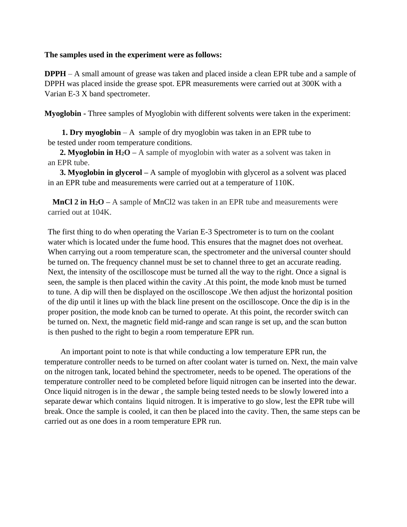#### **The samples used in the experiment were as follows:**

**DPPH** – A small amount of grease was taken and placed inside a clean EPR tube and a sample of DPPH was placed inside the grease spot. EPR measurements were carried out at 300K with a Varian E-3 X band spectrometer.

**Myoglobin -** Three samples of Myoglobin with different solvents were taken in the experiment:

**1. Dry myoglobin** – A sample of dry myoglobin was taken in an EPR tube to be tested under room temperature conditions.

**2. Myoglobin in H2O –** A sample of myoglobin with water as a solvent was taken in an EPR tube.

**3. Myoglobin in glycerol –** A sample of myoglobin with glycerol as a solvent was placed in an EPR tube and measurements were carried out at a temperature of 110K.

**MnCl 2 in H2O –** A sample of MnCl2 was taken in an EPR tube and measurements were carried out at 104K.

The first thing to do when operating the Varian E-3 Spectrometer is to turn on the coolant water which is located under the fume hood. This ensures that the magnet does not overheat. When carrying out a room temperature scan, the spectrometer and the universal counter should be turned on. The frequency channel must be set to channel three to get an accurate reading. Next, the intensity of the oscilloscope must be turned all the way to the right. Once a signal is seen, the sample is then placed within the cavity .At this point, the mode knob must be turned to tune. A dip will then be displayed on the oscilloscope .We then adjust the horizontal position of the dip until it lines up with the black line present on the oscilloscope. Once the dip is in the proper position, the mode knob can be turned to operate. At this point, the recorder switch can be turned on. Next, the magnetic field mid-range and scan range is set up, and the scan button is then pushed to the right to begin a room temperature EPR run.

 An important point to note is that while conducting a low temperature EPR run, the temperature controller needs to be turned on after coolant water is turned on. Next, the main valve on the nitrogen tank, located behind the spectrometer, needs to be opened. The operations of the temperature controller need to be completed before liquid nitrogen can be inserted into the dewar. Once liquid nitrogen is in the dewar , the sample being tested needs to be slowly lowered into a separate dewar which contains liquid nitrogen. It is imperative to go slow, lest the EPR tube will break. Once the sample is cooled, it can then be placed into the cavity. Then, the same steps can be carried out as one does in a room temperature EPR run.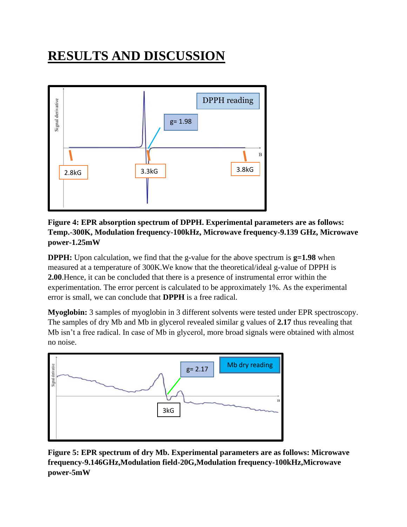## **RESULTS AND DISCUSSION**



**Figure 4: EPR absorption spectrum of DPPH. Experimental parameters are as follows: Temp.-300K, Modulation frequency-100kHz, Microwave frequency-9.139 GHz, Microwave power-1.25mW**

**DPPH:** Upon calculation, we find that the g-value for the above spectrum is  $g=1.98$  when measured at a temperature of 300K.We know that the theoretical/ideal g-value of DPPH is **2.00**.Hence, it can be concluded that there is a presence of instrumental error within the experimentation. The error percent is calculated to be approximately 1%. As the experimental error is small, we can conclude that **DPPH** is a free radical.

**Myoglobin:** 3 samples of myoglobin in 3 different solvents were tested under EPR spectroscopy. The samples of dry Mb and Mb in glycerol revealed similar g values of **2.17** thus revealing that Mb isn't a free radical. In case of Mb in glycerol, more broad signals were obtained with almost no noise.



**Figure 5: EPR spectrum of dry Mb. Experimental parameters are as follows: Microwave frequency-9.146GHz,Modulation field-20G,Modulation frequency-100kHz,Microwave power-5mW**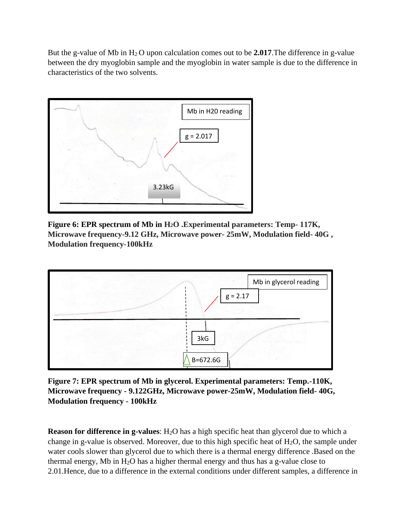But the g-value of Mb in H2 O upon calculation comes out to be **2.017**.The difference in g-value between the dry myoglobin sample and the myoglobin in water sample is due to the difference in characteristics of the two solvents.



**Figure 6: EPR spectrum of Mb in H2O .Experimental parameters: Temp- 117K, Microwave frequency-9.12 GHz, Microwave power- 25mW, Modulation field- 40G , Modulation frequency-100kHz**



**Figure 7: EPR spectrum of Mb in glycerol. Experimental parameters: Temp.-110K, Microwave frequency - 9.122GHz, Microwave power-25mW, Modulation field- 40G, Modulation frequency - 100kHz**

**Reason for difference in g-values**: H<sub>2</sub>O has a high specific heat than glycerol due to which a change in g-value is observed. Moreover, due to this high specific heat of  $H_2O$ , the sample under water cools slower than glycerol due to which there is a thermal energy difference .Based on the thermal energy, Mb in  $H_2O$  has a higher thermal energy and thus has a g-value close to 2.01.Hence, due to a difference in the external conditions under different samples, a difference in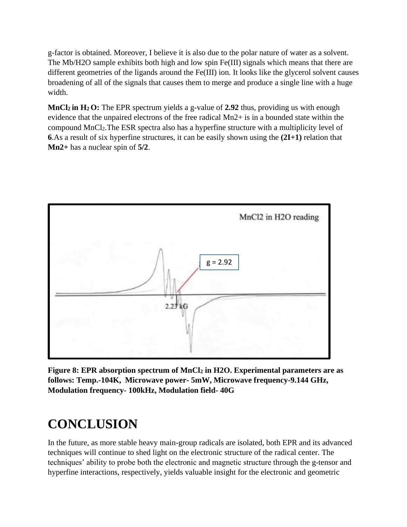g-factor is obtained. Moreover, I believe it is also due to the polar nature of water as a solvent. The Mb/H2O sample exhibits both high and low spin Fe(III) signals which means that there are different geometries of the ligands around the Fe(III) ion. It looks like the glycerol solvent causes broadening of all of the signals that causes them to merge and produce a single line with a huge width.

**MnCl2 in H2 O:** The EPR spectrum yields a g-value of **2.92** thus, providing us with enough evidence that the unpaired electrons of the free radical Mn2+ is in a bounded state within the compound MnCl2.The ESR spectra also has a hyperfine structure with a multiplicity level of **6**.As a result of six hyperfine structures, it can be easily shown using the **(2I+1)** relation that **Mn2+** has a nuclear spin of **5/2**.



**Figure 8: EPR absorption spectrum of MnCl<sup>2</sup> in H2O. Experimental parameters are as follows: Temp.-104K, Microwave power- 5mW, Microwave frequency-9.144 GHz, Modulation frequency- 100kHz, Modulation field- 40G**

### **CONCLUSION**

In the future, as more stable heavy main-group radicals are isolated, both EPR and its advanced techniques will continue to shed light on the electronic structure of the radical center. The techniques' ability to probe both the electronic and magnetic structure through the g-tensor and hyperfine interactions, respectively, yields valuable insight for the electronic and geometric